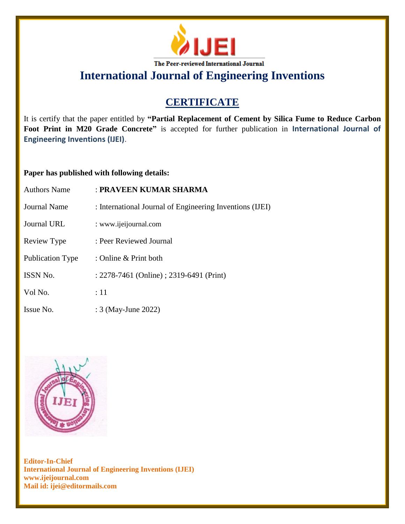

**International Journal of Engineering Inventions**

## **CERTIFICATE**

It is certify that the paper entitled by **"Partial Replacement of Cement by Silica Fume to Reduce Carbon Foot Print in M20 Grade Concrete"** is accepted for further publication in **International Journal of Engineering Inventions (IJEI)**.

## **Paper has published with following details:**

| <b>Authors Name</b>     | : PRAVEEN KUMAR SHARMA                                   |
|-------------------------|----------------------------------------------------------|
| <b>Journal Name</b>     | : International Journal of Engineering Inventions (IJEI) |
| Journal URL             | : www.ijeijournal.com                                    |
| Review Type             | : Peer Reviewed Journal                                  |
| <b>Publication Type</b> | : Online & Print both                                    |
| ISSN No.                | : 2278-7461 (Online) ; 2319-6491 (Print)                 |
| Vol No.                 | :11                                                      |
| Issue No.               | : 3 (May-June 2022)                                      |



**Editor-In-Chief International Journal of Engineering Inventions (IJEI) www.ijeijournal.com Mail id: ijei@editormails.com**